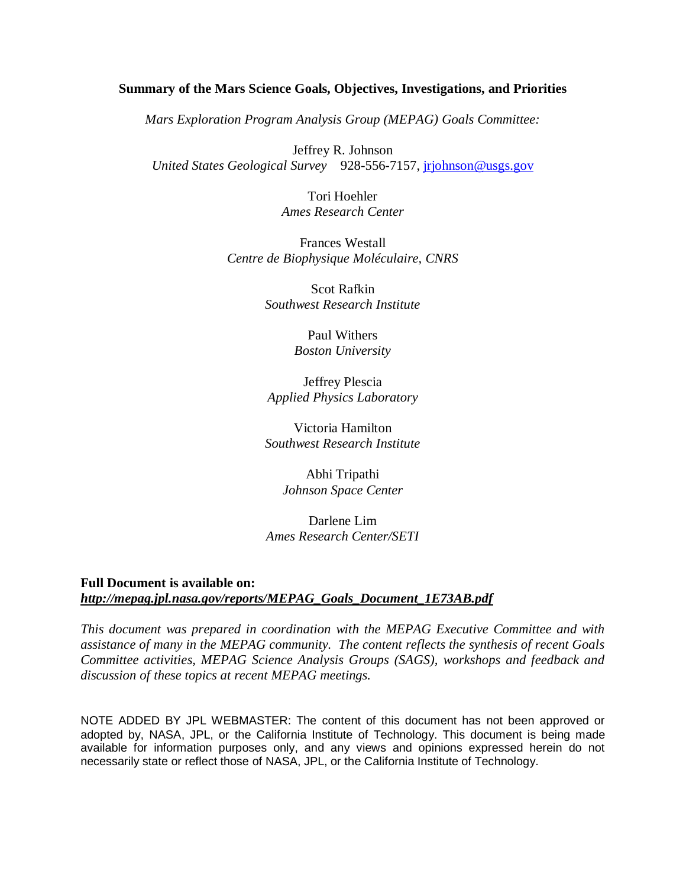#### **Summary of the Mars Science Goals, Objectives, Investigations, and Priorities**

*Mars Exploration Program Analysis Group (MEPAG) Goals Committee:* 

Jeffrey R. Johnson *United States Geological Survey* 928-556-7157, jrjohnson@usgs.gov

> Tori Hoehler *Ames Research Center*

Frances Westall *Centre de Biophysique Moléculaire, CNRS* 

> Scot Rafkin *Southwest Research Institute*

> > Paul Withers *Boston University*

Jeffrey Plescia *Applied Physics Laboratory* 

Victoria Hamilton *Southwest Research Institute* 

> Abhi Tripathi *Johnson Space Center*

Darlene Lim *Ames Research Center/SETI* 

#### **Full Document is available on:**  *http://mepag.jpl.nasa.gov/reports/MEPAG\_Goals\_Document\_1E73AB.pdf*

*This document was prepared in coordination with the MEPAG Executive Committee and with assistance of many in the MEPAG community. The content reflects the synthesis of recent Goals Committee activities, MEPAG Science Analysis Groups (SAGS), workshops and feedback and discussion of these topics at recent MEPAG meetings.* 

NOTE ADDED BY JPL WEBMASTER: The content of this document has not been approved or adopted by, NASA, JPL, or the California Institute of Technology. This document is being made available for information purposes only, and any views and opinions expressed herein do not necessarily state or reflect those of NASA, JPL, or the California Institute of Technology.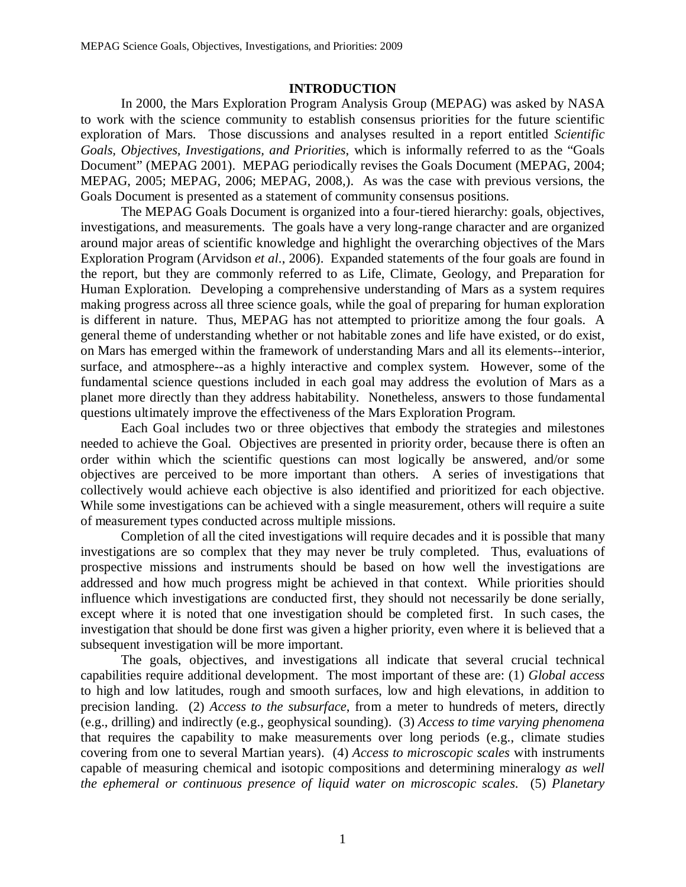#### **INTRODUCTION**

In 2000, the Mars Exploration Program Analysis Group (MEPAG) was asked by NASA to work with the science community to establish consensus priorities for the future scientific exploration of Mars. Those discussions and analyses resulted in a report entitled *Scientific Goals, Objectives, Investigations, and Priorities*, which is informally referred to as the "Goals Document" (MEPAG 2001). MEPAG periodically revises the Goals Document (MEPAG, 2004; MEPAG, 2005; MEPAG, 2006; MEPAG, 2008,). As was the case with previous versions, the Goals Document is presented as a statement of community consensus positions.

The MEPAG Goals Document is organized into a four-tiered hierarchy: goals, objectives, investigations, and measurements. The goals have a very long-range character and are organized around major areas of scientific knowledge and highlight the overarching objectives of the Mars Exploration Program (Arvidson *et al*., 2006). Expanded statements of the four goals are found in the report, but they are commonly referred to as Life, Climate, Geology, and Preparation for Human Exploration. Developing a comprehensive understanding of Mars as a system requires making progress across all three science goals, while the goal of preparing for human exploration is different in nature. Thus, MEPAG has not attempted to prioritize among the four goals. A general theme of understanding whether or not habitable zones and life have existed, or do exist, on Mars has emerged within the framework of understanding Mars and all its elements--interior, surface, and atmosphere--as a highly interactive and complex system. However, some of the fundamental science questions included in each goal may address the evolution of Mars as a planet more directly than they address habitability. Nonetheless, answers to those fundamental questions ultimately improve the effectiveness of the Mars Exploration Program.

Each Goal includes two or three objectives that embody the strategies and milestones needed to achieve the Goal. Objectives are presented in priority order, because there is often an order within which the scientific questions can most logically be answered, and/or some objectives are perceived to be more important than others. A series of investigations that collectively would achieve each objective is also identified and prioritized for each objective. While some investigations can be achieved with a single measurement, others will require a suite of measurement types conducted across multiple missions.

Completion of all the cited investigations will require decades and it is possible that many investigations are so complex that they may never be truly completed. Thus, evaluations of prospective missions and instruments should be based on how well the investigations are addressed and how much progress might be achieved in that context. While priorities should influence which investigations are conducted first, they should not necessarily be done serially, except where it is noted that one investigation should be completed first. In such cases, the investigation that should be done first was given a higher priority, even where it is believed that a subsequent investigation will be more important.

The goals, objectives, and investigations all indicate that several crucial technical capabilities require additional development. The most important of these are: (1) *Global access* to high and low latitudes, rough and smooth surfaces, low and high elevations, in addition to precision landing. (2) *Access to the subsurface*, from a meter to hundreds of meters, directly (e.g., drilling) and indirectly (e.g., geophysical sounding). (3) *Access to time varying phenomena* that requires the capability to make measurements over long periods (e.g., climate studies covering from one to several Martian years). (4) *Access to microscopic scales* with instruments capable of measuring chemical and isotopic compositions and determining mineralogy *as well the ephemeral or continuous presence of liquid water on microscopic scales*. (5) *Planetary*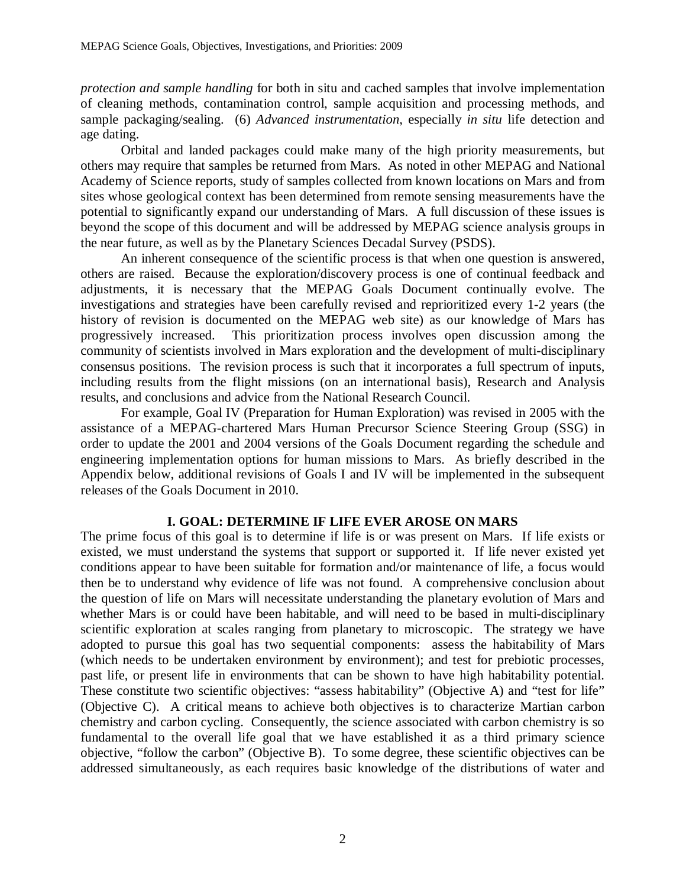*protection and sample handling* for both in situ and cached samples that involve implementation of cleaning methods, contamination control, sample acquisition and processing methods, and sample packaging/sealing. (6) *Advanced instrumentation*, especially *in situ* life detection and age dating.

Orbital and landed packages could make many of the high priority measurements, but others may require that samples be returned from Mars. As noted in other MEPAG and National Academy of Science reports, study of samples collected from known locations on Mars and from sites whose geological context has been determined from remote sensing measurements have the potential to significantly expand our understanding of Mars. A full discussion of these issues is beyond the scope of this document and will be addressed by MEPAG science analysis groups in the near future, as well as by the Planetary Sciences Decadal Survey (PSDS).

An inherent consequence of the scientific process is that when one question is answered, others are raised. Because the exploration/discovery process is one of continual feedback and adjustments, it is necessary that the MEPAG Goals Document continually evolve. The investigations and strategies have been carefully revised and reprioritized every 1-2 years (the history of revision is documented on the MEPAG web site) as our knowledge of Mars has progressively increased. This prioritization process involves open discussion among the community of scientists involved in Mars exploration and the development of multi-disciplinary consensus positions. The revision process is such that it incorporates a full spectrum of inputs, including results from the flight missions (on an international basis), Research and Analysis results, and conclusions and advice from the National Research Council.

For example, Goal IV (Preparation for Human Exploration) was revised in 2005 with the assistance of a MEPAG-chartered Mars Human Precursor Science Steering Group (SSG) in order to update the 2001 and 2004 versions of the Goals Document regarding the schedule and engineering implementation options for human missions to Mars. As briefly described in the Appendix below, additional revisions of Goals I and IV will be implemented in the subsequent releases of the Goals Document in 2010.

#### **I. GOAL: DETERMINE IF LIFE EVER AROSE ON MARS**

The prime focus of this goal is to determine if life is or was present on Mars. If life exists or existed, we must understand the systems that support or supported it. If life never existed yet conditions appear to have been suitable for formation and/or maintenance of life, a focus would then be to understand why evidence of life was not found. A comprehensive conclusion about the question of life on Mars will necessitate understanding the planetary evolution of Mars and whether Mars is or could have been habitable, and will need to be based in multi-disciplinary scientific exploration at scales ranging from planetary to microscopic. The strategy we have adopted to pursue this goal has two sequential components: assess the habitability of Mars (which needs to be undertaken environment by environment); and test for prebiotic processes, past life, or present life in environments that can be shown to have high habitability potential. These constitute two scientific objectives: "assess habitability" (Objective A) and "test for life" (Objective C). A critical means to achieve both objectives is to characterize Martian carbon chemistry and carbon cycling. Consequently, the science associated with carbon chemistry is so fundamental to the overall life goal that we have established it as a third primary science objective, "follow the carbon" (Objective B). To some degree, these scientific objectives can be addressed simultaneously, as each requires basic knowledge of the distributions of water and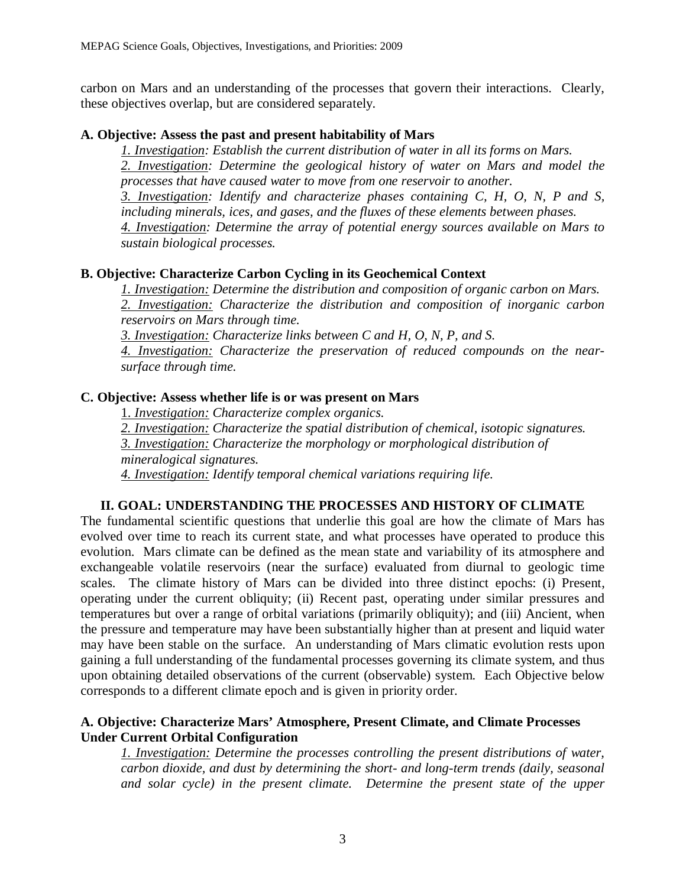carbon on Mars and an understanding of the processes that govern their interactions. Clearly, these objectives overlap, but are considered separately.

## **A. Objective: Assess the past and present habitability of Mars**

*1. Investigation: Establish the current distribution of water in all its forms on Mars. 2. Investigation: Determine the geological history of water on Mars and model the processes that have caused water to move from one reservoir to another.* 

*3. Investigation: Identify and characterize phases containing C, H, O, N, P and S, including minerals, ices, and gases, and the fluxes of these elements between phases.* 

*4. Investigation: Determine the array of potential energy sources available on Mars to sustain biological processes.* 

# **B. Objective: Characterize Carbon Cycling in its Geochemical Context**

*1. Investigation: Determine the distribution and composition of organic carbon on Mars.* 

*2. Investigation: Characterize the distribution and composition of inorganic carbon reservoirs on Mars through time.* 

*3. Investigation: Characterize links between C and H, O, N, P, and S.* 

*4. Investigation: Characterize the preservation of reduced compounds on the nearsurface through time.* 

# **C. Objective: Assess whether life is or was present on Mars**

1. *Investigation: Characterize complex organics.* 

*2. Investigation: Characterize the spatial distribution of chemical, isotopic signatures. 3. Investigation: Characterize the morphology or morphological distribution of mineralogical signatures. 4. Investigation: Identify temporal chemical variations requiring life.* 

# **II. GOAL: UNDERSTANDING THE PROCESSES AND HISTORY OF CLIMATE**

The fundamental scientific questions that underlie this goal are how the climate of Mars has evolved over time to reach its current state, and what processes have operated to produce this evolution. Mars climate can be defined as the mean state and variability of its atmosphere and exchangeable volatile reservoirs (near the surface) evaluated from diurnal to geologic time scales. The climate history of Mars can be divided into three distinct epochs: (i) Present, operating under the current obliquity; (ii) Recent past, operating under similar pressures and temperatures but over a range of orbital variations (primarily obliquity); and (iii) Ancient, when the pressure and temperature may have been substantially higher than at present and liquid water may have been stable on the surface. An understanding of Mars climatic evolution rests upon gaining a full understanding of the fundamental processes governing its climate system, and thus upon obtaining detailed observations of the current (observable) system. Each Objective below corresponds to a different climate epoch and is given in priority order.

## **A. Objective: Characterize Mars' Atmosphere, Present Climate, and Climate Processes Under Current Orbital Configuration**

*1. Investigation: Determine the processes controlling the present distributions of water, carbon dioxide, and dust by determining the short- and long-term trends (daily, seasonal and solar cycle) in the present climate. Determine the present state of the upper*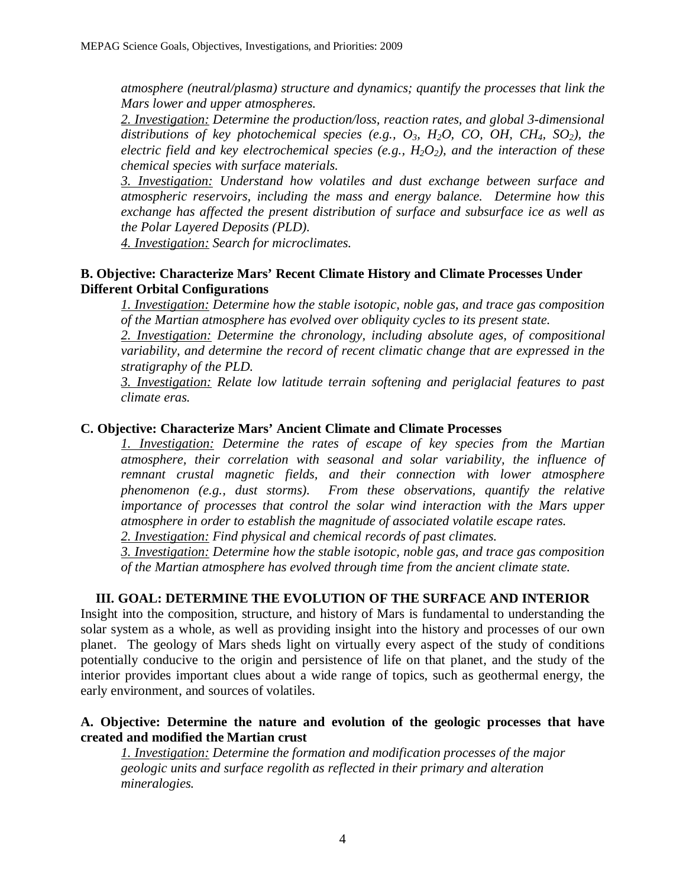*atmosphere (neutral/plasma) structure and dynamics; quantify the processes that link the Mars lower and upper atmospheres.* 

*2. Investigation: Determine the production/loss, reaction rates, and global 3-dimensional distributions of key photochemical species (e.g., O3, H2O, CO, OH, CH4, SO2), the electric field and key electrochemical species (e.g., H2O2), and the interaction of these chemical species with surface materials.* 

*3. Investigation: Understand how volatiles and dust exchange between surface and atmospheric reservoirs, including the mass and energy balance. Determine how this exchange has affected the present distribution of surface and subsurface ice as well as the Polar Layered Deposits (PLD).* 

*4. Investigation: Search for microclimates.* 

# **B. Objective: Characterize Mars' Recent Climate History and Climate Processes Under Different Orbital Configurations**

*1. Investigation: Determine how the stable isotopic, noble gas, and trace gas composition of the Martian atmosphere has evolved over obliquity cycles to its present state.* 

2. Investigation: Determine the chronology, including absolute ages, of compositional *variability, and determine the record of recent climatic change that are expressed in the stratigraphy of the PLD.* 

*3. Investigation: Relate low latitude terrain softening and periglacial features to past climate eras.* 

## **C. Objective: Characterize Mars' Ancient Climate and Climate Processes**

*1. Investigation: Determine the rates of escape of key species from the Martian atmosphere, their correlation with seasonal and solar variability, the influence of remnant crustal magnetic fields, and their connection with lower atmosphere phenomenon (e.g., dust storms). From these observations, quantify the relative importance of processes that control the solar wind interaction with the Mars upper atmosphere in order to establish the magnitude of associated volatile escape rates.* 

*2. Investigation: Find physical and chemical records of past climates.* 

*3. Investigation: Determine how the stable isotopic, noble gas, and trace gas composition of the Martian atmosphere has evolved through time from the ancient climate state.* 

# **III. GOAL: DETERMINE THE EVOLUTION OF THE SURFACE AND INTERIOR**

Insight into the composition, structure, and history of Mars is fundamental to understanding the solar system as a whole, as well as providing insight into the history and processes of our own planet. The geology of Mars sheds light on virtually every aspect of the study of conditions potentially conducive to the origin and persistence of life on that planet, and the study of the interior provides important clues about a wide range of topics, such as geothermal energy, the early environment, and sources of volatiles.

## **A. Objective: Determine the nature and evolution of the geologic processes that have created and modified the Martian crust**

*1. Investigation: Determine the formation and modification processes of the major geologic units and surface regolith as reflected in their primary and alteration mineralogies.*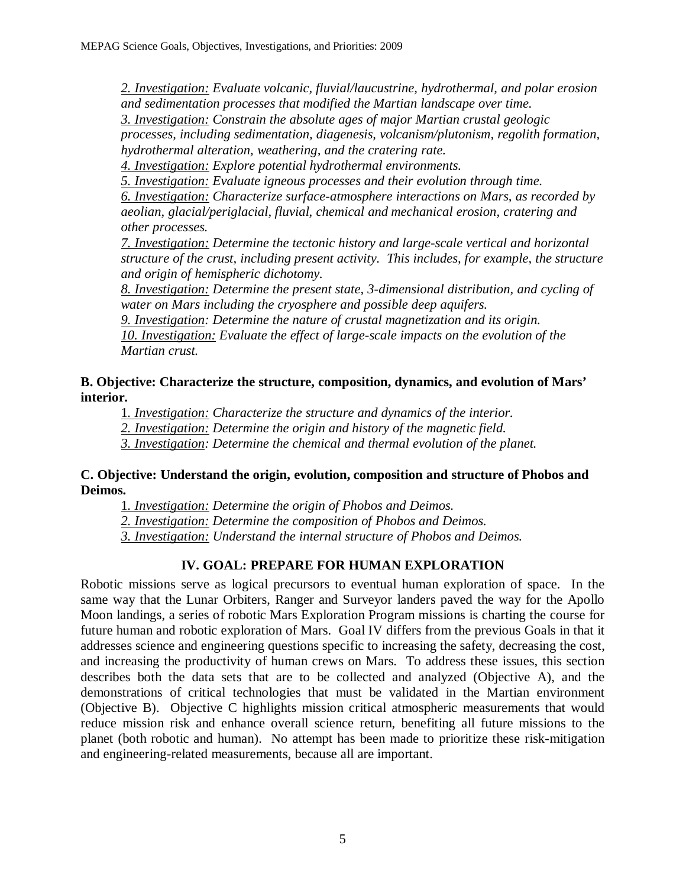*2. Investigation: Evaluate volcanic, fluvial/laucustrine, hydrothermal, and polar erosion and sedimentation processes that modified the Martian landscape over time. 3. Investigation: Constrain the absolute ages of major Martian crustal geologic processes, including sedimentation, diagenesis, volcanism/plutonism, regolith formation, hydrothermal alteration, weathering, and the cratering rate.* 

*4. Investigation: Explore potential hydrothermal environments.* 

*5. Investigation: Evaluate igneous processes and their evolution through time. 6. Investigation: Characterize surface-atmosphere interactions on Mars, as recorded by aeolian, glacial/periglacial, fluvial, chemical and mechanical erosion, cratering and other processes.* 

*7. Investigation: Determine the tectonic history and large-scale vertical and horizontal structure of the crust, including present activity. This includes, for example, the structure and origin of hemispheric dichotomy.* 

*8. Investigation: Determine the present state, 3-dimensional distribution, and cycling of water on Mars including the cryosphere and possible deep aquifers.* 

*9. Investigation: Determine the nature of crustal magnetization and its origin. 10. Investigation: Evaluate the effect of large-scale impacts on the evolution of the Martian crust.* 

# **B. Objective: Characterize the structure, composition, dynamics, and evolution of Mars' interior.**

1*. Investigation: Characterize the structure and dynamics of the interior. 2. Investigation: Determine the origin and history of the magnetic field.* 

*3. Investigation: Determine the chemical and thermal evolution of the planet.* 

## **C. Objective: Understand the origin, evolution, composition and structure of Phobos and Deimos.**

1*. Investigation: Determine the origin of Phobos and Deimos.* 

*2. Investigation: Determine the composition of Phobos and Deimos.* 

*3. Investigation: Understand the internal structure of Phobos and Deimos.* 

# **IV. GOAL: PREPARE FOR HUMAN EXPLORATION**

Robotic missions serve as logical precursors to eventual human exploration of space. In the same way that the Lunar Orbiters, Ranger and Surveyor landers paved the way for the Apollo Moon landings, a series of robotic Mars Exploration Program missions is charting the course for future human and robotic exploration of Mars. Goal IV differs from the previous Goals in that it addresses science and engineering questions specific to increasing the safety, decreasing the cost, and increasing the productivity of human crews on Mars. To address these issues, this section describes both the data sets that are to be collected and analyzed (Objective A), and the demonstrations of critical technologies that must be validated in the Martian environment (Objective B). Objective C highlights mission critical atmospheric measurements that would reduce mission risk and enhance overall science return, benefiting all future missions to the planet (both robotic and human). No attempt has been made to prioritize these risk-mitigation and engineering-related measurements, because all are important.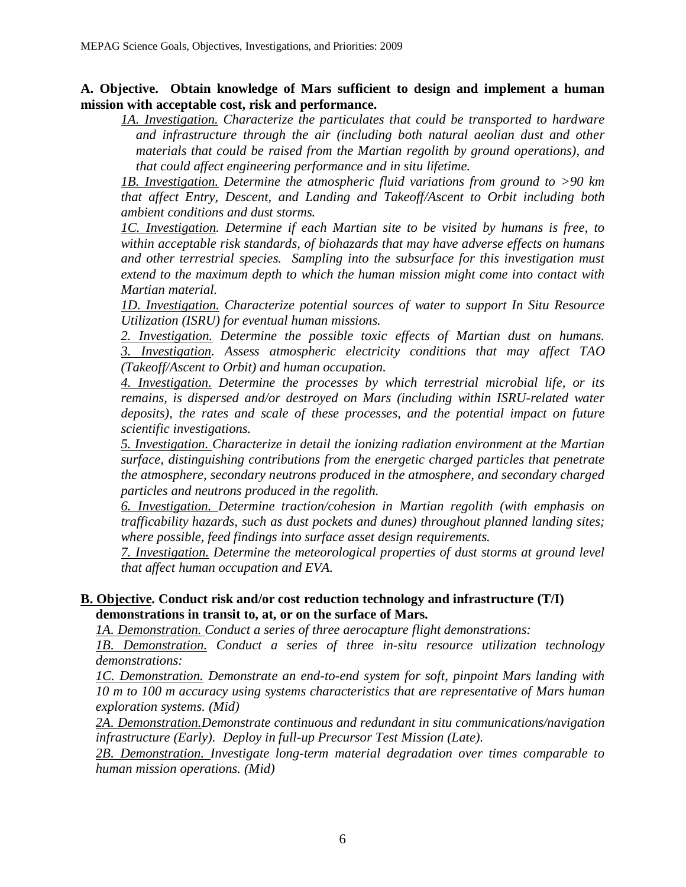**A. Objective. Obtain knowledge of Mars sufficient to design and implement a human mission with acceptable cost, risk and performance.**

*1A. Investigation. Characterize the particulates that could be transported to hardware and infrastructure through the air (including both natural aeolian dust and other materials that could be raised from the Martian regolith by ground operations), and that could affect engineering performance and in situ lifetime.* 

*1B. Investigation. Determine the atmospheric fluid variations from ground to >90 km that affect Entry, Descent, and Landing and Takeoff/Ascent to Orbit including both ambient conditions and dust storms.* 

*1C. Investigation. Determine if each Martian site to be visited by humans is free, to within acceptable risk standards, of biohazards that may have adverse effects on humans and other terrestrial species. Sampling into the subsurface for this investigation must extend to the maximum depth to which the human mission might come into contact with Martian material.* 

*1D. Investigation. Characterize potential sources of water to support In Situ Resource Utilization (ISRU) for eventual human missions.* 

*2. Investigation. Determine the possible toxic effects of Martian dust on humans. 3. Investigation. Assess atmospheric electricity conditions that may affect TAO (Takeoff/Ascent to Orbit) and human occupation.* 

*4. Investigation. Determine the processes by which terrestrial microbial life, or its remains, is dispersed and/or destroyed on Mars (including within ISRU-related water deposits), the rates and scale of these processes, and the potential impact on future scientific investigations.* 

*5. Investigation. Characterize in detail the ionizing radiation environment at the Martian surface, distinguishing contributions from the energetic charged particles that penetrate the atmosphere, secondary neutrons produced in the atmosphere, and secondary charged particles and neutrons produced in the regolith.* 

*6. Investigation. Determine traction/cohesion in Martian regolith (with emphasis on trafficability hazards, such as dust pockets and dunes) throughout planned landing sites; where possible, feed findings into surface asset design requirements.* 

*7. Investigation. Determine the meteorological properties of dust storms at ground level that affect human occupation and EVA.* 

# **B. Objective. Conduct risk and/or cost reduction technology and infrastructure (T/I) demonstrations in transit to, at, or on the surface of Mars.**

*1A. Demonstration. Conduct a series of three aerocapture flight demonstrations:* 

*1B. Demonstration. Conduct a series of three in-situ resource utilization technology demonstrations:* 

*1C. Demonstration. Demonstrate an end-to-end system for soft, pinpoint Mars landing with 10 m to 100 m accuracy using systems characteristics that are representative of Mars human exploration systems. (Mid)* 

*2A. Demonstration.Demonstrate continuous and redundant in situ communications/navigation infrastructure (Early). Deploy in full-up Precursor Test Mission (Late).* 

*2B. Demonstration. Investigate long-term material degradation over times comparable to human mission operations. (Mid)*